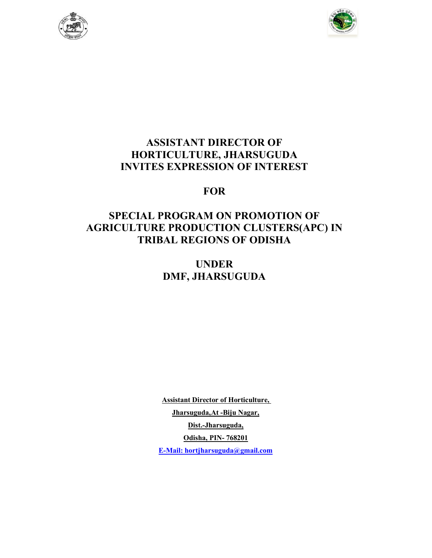



# ASSISTANT DIRECTOR OF HORTICULTURE, JHARSUGUDA INVITES EXPRESSION OF INTEREST

# **FOR**

# SPECIAL PROGRAM ON PROMOTION OF AGRICULTURE PRODUCTION CLUSTERS(APC) IN TRIBAL REGIONS OF ODISHA

# UNDER DMF, JHARSUGUDA

Assistant Director of Horticulture, Jharsuguda, At -Biju Nagar, Dist.-Jharsuguda, Odisha, PIN- 768201 E-Mail: hortjharsuguda@gmail.com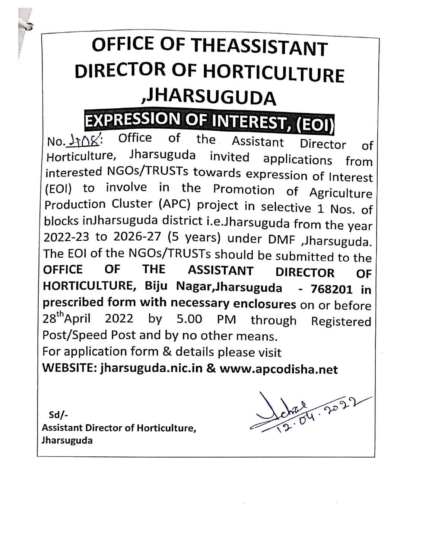# OFFICE OF THEASSISTANT DIRECTOR OF HORTICULTURE ,JHARSUGUDA

# **EXPRESSION OF INTEREST, (EOI)**

of the Assistant Office  $No.$   $\downarrow \uparrow \wedge \uparrow$ : Director of Horticulture, Jharsuguda invited applications from interested NGOs/TRUSTs towards expression of Interest (EOI) to involve in the Promotion of Agriculture Production Cluster (APC) project in selective 1 Nos. of blocks inJharsuguda district i.e.Jharsuguda from the year 2022-23 to 2026-27 (5 years) under DMF , Jharsuguda. The EOI of the NGOs/TRUSTs should be submitted to the **ASSISTANT** OFFICE OF **THF DIRECTOR** OF HORTICULTURE, Biju Nagar, Jharsuguda - 768201 in prescribed form with necessary enclosures on or before 28<sup>th</sup>April by 5.00 PM through 2022 Registered Post/Speed Post and by no other means. For application form & details please visit WEBSITE: jharsuguda.nic.in & www.apcodisha.net

 $Sd/-$ **Assistant Director of Horticulture,** Jharsuguda

ne 24.2022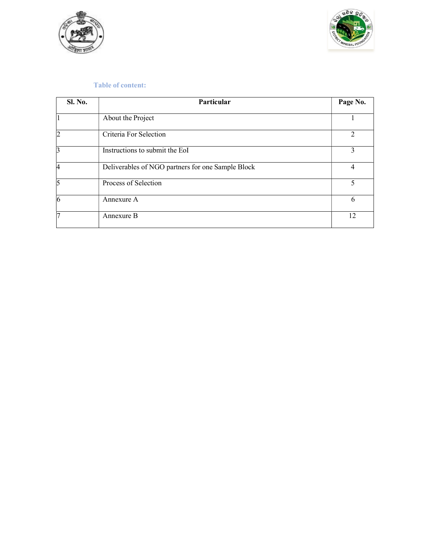



#### Table of content:

| <b>Sl. No.</b> | Particular                                        | Page No.       |
|----------------|---------------------------------------------------|----------------|
| $\overline{1}$ | About the Project                                 |                |
| $\overline{2}$ | Criteria For Selection                            | $\mathfrak{D}$ |
| 3              | Instructions to submit the EoI                    | 3              |
| 4              | Deliverables of NGO partners for one Sample Block | 4              |
| 5              | Process of Selection                              | 5              |
| 6              | Annexure A                                        | 6              |
| $\overline{7}$ | Annexure B                                        | 12             |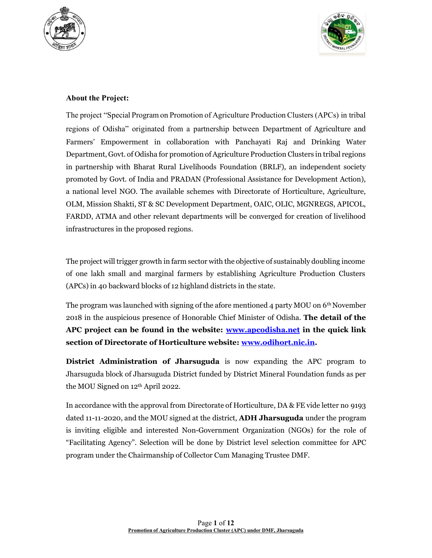



## About the Project:

The project "Special Program on Promotion of Agriculture Production Clusters (APCs) in tribal regions of Odisha" originated from a partnership between Department of Agriculture and Farmers' Empowerment in collaboration with Panchayati Raj and Drinking Water Department, Govt. of Odisha for promotion of Agriculture Production Clusters in tribal regions in partnership with Bharat Rural Livelihoods Foundation (BRLF), an independent society promoted by Govt. of India and PRADAN (Professional Assistance for Development Action), a national level NGO. The available schemes with Directorate of Horticulture, Agriculture, OLM, Mission Shakti, ST & SC Development Department, OAIC, OLIC, MGNREGS, APICOL, FARDD, ATMA and other relevant departments will be converged for creation of livelihood infrastructures in the proposed regions.

The project will trigger growth in farm sector with the objective of sustainably doubling income of one lakh small and marginal farmers by establishing Agriculture Production Clusters (APCs) in 40 backward blocks of 12 highland districts in the state.

The program was launched with signing of the afore mentioned 4 party MOU on  $6<sup>th</sup>$  November 2018 in the auspicious presence of Honorable Chief Minister of Odisha. The detail of the APC project can be found in the website: www.apcodisha.net in the quick link section of Directorate of Horticulture website: www.odihort.nic.in.

District Administration of Jharsuguda is now expanding the APC program to Jharsuguda block of Jharsuguda District funded by District Mineral Foundation funds as per the MOU Signed on 12th April 2022.

In accordance with the approval from Directorate of Horticulture, DA & FE vide letter no 9193 dated 11-11-2020, and the MOU signed at the district, **ADH Jharsuguda** under the program is inviting eligible and interested Non-Government Organization (NGOs) for the role of "Facilitating Agency". Selection will be done by District level selection committee for APC program under the Chairmanship of Collector Cum Managing Trustee DMF.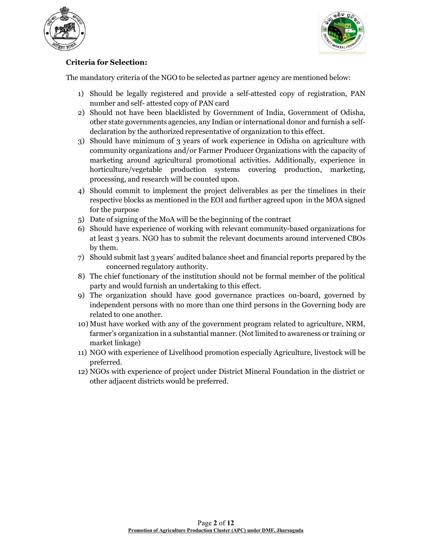



## Criteria for Selection:

The mandatory criteria of the NGO to be selected as partner agency are mentioned below:

- 1) Should be legally registered and provide a self-attested copy of registration, PAN number and self- attested copy of PAN card
- 2) Should not have been blacklisted by Government of India, Government of Odisha, other state governments agencies, any Indian or international donor and furnish a selfdeclaration by the authorized representative of organization to this effect.
- 3) Should have minimum of 3 years of work experience in Odisha on agriculture with community organizations and/or Farmer Producer Organizations with the capacity of marketing around agricultural promotional activities. Additionally, experience in horticulture/vegetable production systems covering production, marketing, processing, and research will be counted upon.
- 4) Should commit to implement the project deliverables as per the timelines in their respective blocks as mentioned in the EOI and further agreed upon in the MOA signed for the purpose
- 5) Date of signing of the MoA will be the beginning of the contract
- 6) Should have experience of working with relevant community-based organizations for at least 3 years. NGO has to submit the relevant documents around intervened CBOs by them.
- 7) Should submit last 3 years' audited balance sheet and financial reports prepared by the concerned regulatory authority.
- 8) The chief functionary of the institution should not be formal member of the political party and would furnish an undertaking to this effect.
- 9) The organization should have good governance practices on-board, governed by independent persons with no more than one third persons in the Governing body are related to one another.
- 10) Must have worked with any of the government program related to agriculture, NRM, farmer's organization in a substantial manner. (Not limited to awareness or training or market linkage)
- 11) NGO with experience of Livelihood promotion especially Agriculture, livestock will be preferred.
- 12) NGOs with experience of project under District Mineral Foundation in the district or other adjacent districts would be preferred.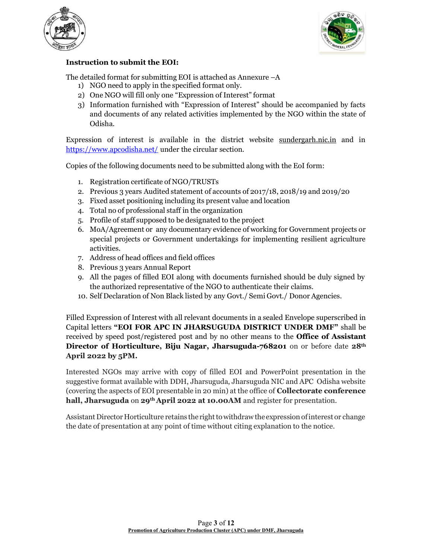



## Instruction to submit the EOI:

The detailed format for submitting EOI is attached as Annexure  $-A$ 

- 1) NGO need to apply in the specified format only.
- 2) One NGO will fill only one "Expression of Interest" format
- 3) Information furnished with "Expression of Interest" should be accompanied by facts and documents of any related activities implemented by the NGO within the state of Odisha.

Expression of interest is available in the district website sundergarh.nic.in and in https://www.apcodisha.net/ under the circular section.

Copies of the following documents need to be submitted along with the EoI form:

- 1. Registration certificate of NGO/TRUSTs
- 2. Previous 3 years Audited statement of accounts of 2017/18, 2018/19 and 2019/20
- 3. Fixed asset positioning including its present value and location
- 4. Total no of professional staff in the organization
- 5. Profile of staff supposed to be designated to the project
- 6. MoA/Agreement or any documentary evidence of working for Government projects or special projects or Government undertakings for implementing resilient agriculture activities.
- 7. Address of head offices and field offices
- 8. Previous 3 years Annual Report
- 9. All the pages of filled EOI along with documents furnished should be duly signed by the authorized representative of the NGO to authenticate their claims.
- 10. Self Declaration of Non Black listed by any Govt./ Semi Govt./ Donor Agencies.

Filled Expression of Interest with all relevant documents in a sealed Envelope superscribed in Capital letters "EOI FOR APC IN JHARSUGUDA DISTRICT UNDER DMF" shall be received by speed post/registered post and by no other means to the **Office of Assistant** Director of Horticulture, Biju Nagar, Jharsuguda-768201 on or before date 28<sup>th</sup> April 2022 by 5PM.

Interested NGOs may arrive with copy of filled EOI and PowerPoint presentation in the suggestive format available with DDH, Jharsuguda, Jharsuguda NIC and APC Odisha website (covering the aspects of EOI presentable in 20 min) at the office of Collectorate conference hall, Jharsuguda on 29<sup>th</sup> April 2022 at 10.00AM and register for presentation.

Assistant Director Horticulture retains the right to withdraw the expression of interest or change the date of presentation at any point of time without citing explanation to the notice.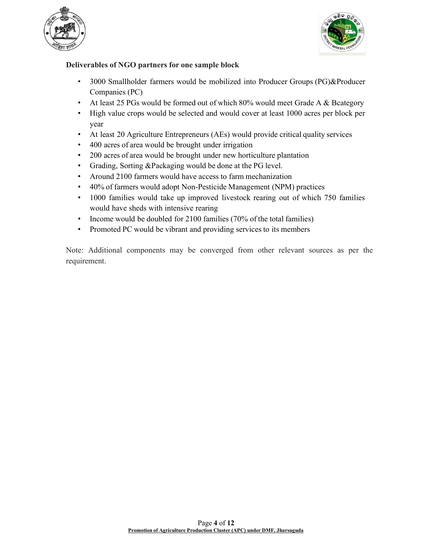



## Deliverables of NGO partners for one sample block

- 3000 Smallholder farmers would be mobilized into Producer Groups (PG)&Producer Companies (PC)
- At least 25 PGs would be formed out of which 80% would meet Grade A & Bcategory
- High value crops would be selected and would cover at least 1000 acres per block per year
- At least 20 Agriculture Entrepreneurs (AEs) would provide critical quality services
- 400 acres of area would be brought under irrigation
- 200 acres of area would be brought under new horticulture plantation
- Grading, Sorting &Packaging would be done at the PG level.
- Around 2100 farmers would have access to farm mechanization
- 40% of farmers would adopt Non-Pesticide Management (NPM) practices
- 1000 families would take up improved livestock rearing out of which 750 families would have sheds with intensive rearing
- Income would be doubled for 2100 families (70% of the total families)
- Promoted PC would be vibrant and providing services to its members

Note: Additional components may be converged from other relevant sources as per the requirement.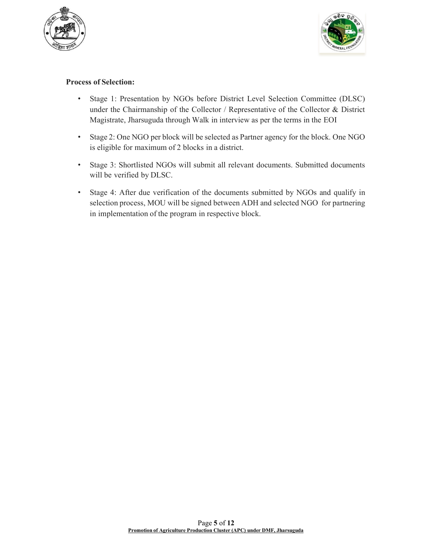



## Process of Selection:

- Stage 1: Presentation by NGOs before District Level Selection Committee (DLSC) under the Chairmanship of the Collector / Representative of the Collector & District Magistrate, Jharsuguda through Walk in interview as per the terms in the EOI
- Stage 2: One NGO per block will be selected as Partner agency for the block. One NGO is eligible for maximum of 2 blocks in a district.
- Stage 3: Shortlisted NGOs will submit all relevant documents. Submitted documents will be verified by DLSC.
- Stage 4: After due verification of the documents submitted by NGOs and qualify in selection process, MOU will be signed between ADH and selected NGO for partnering in implementation of the program in respective block.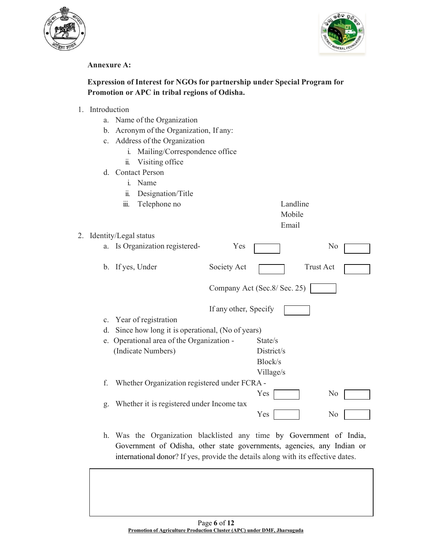



#### Annexure A:

# Expression of Interest for NGOs for partnership under Special Program for Promotion or APC in tribal regions of Odisha.

- 1. Introduction
	- a. Name of the Organization
	- b. Acronym of the Organization, If any:
	- c. Address of the Organization
		- i. Mailing/Correspondence office
		- ii. Visiting office
	- d. Contact Person
		- i. Name ii. Designation/Title
			- iii. Telephone no

| Landline |
|----------|
| Mobile   |

## Email

|    | 2. Identity/Legal status                        |                       |                               |                  |  |
|----|-------------------------------------------------|-----------------------|-------------------------------|------------------|--|
|    | a. Is Organization registered-                  | Yes                   |                               | N <sub>0</sub>   |  |
|    | b. If yes, Under                                | Society Act           |                               | <b>Trust Act</b> |  |
|    |                                                 |                       | Company Act (Sec. 8/ Sec. 25) |                  |  |
|    |                                                 | If any other, Specify |                               |                  |  |
|    | c. Year of registration                         |                       |                               |                  |  |
| d. | Since how long it is operational, (No of years) |                       |                               |                  |  |
|    | e. Operational area of the Organization -       |                       | State/s                       |                  |  |
|    | (Indicate Numbers)                              |                       | District/s                    |                  |  |
|    |                                                 |                       | Block/s                       |                  |  |
|    |                                                 |                       | Village/s                     |                  |  |
| f. | Whether Organization registered under FCRA -    |                       |                               |                  |  |
|    |                                                 |                       | Yes                           | N <sub>0</sub>   |  |
| g. | Whether it is registered under Income tax       |                       |                               |                  |  |
|    |                                                 |                       | Yes                           | No               |  |

h. Was the Organization blacklisted any time by Government of India, Government of Odisha, other state governments, agencies, any Indian or international donor? If yes, provide the details along with its effective dates.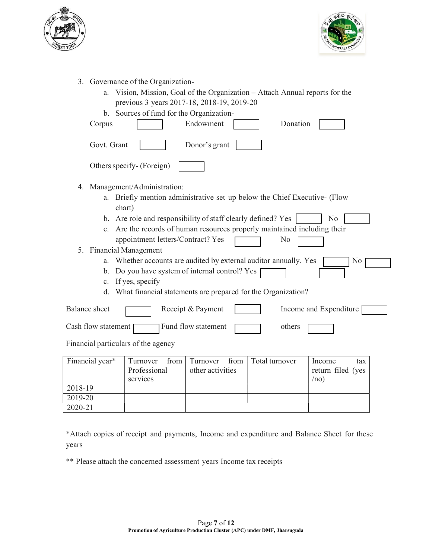



- 3. Governance of the Organization
	- a. Vision, Mission, Goal of the Organization Attach Annual reports for the previous 3 years 2017-18, 2018-19, 2019-20
	- b. Sources of fund for the Organization-

|    | Corpus               | Donation<br>Endowment                                                            |
|----|----------------------|----------------------------------------------------------------------------------|
|    | Govt. Grant          | Donor's grant                                                                    |
|    |                      | Others specify- (Foreign)                                                        |
| 4. |                      | Management/Administration:                                                       |
|    |                      | a. Briefly mention administrative set up below the Chief Executive- (Flow        |
|    |                      | chart)                                                                           |
|    |                      | b. Are role and responsibility of staff clearly defined? Yes<br>No               |
|    |                      | c. Are the records of human resources properly maintained including their        |
|    |                      | appointment letters/Contract? Yes<br>No                                          |
| 5. |                      | <b>Financial Management</b>                                                      |
|    | a.                   | Whether accounts are audited by external auditor annually. Yes<br>N <sub>0</sub> |
|    | b.                   | Do you have system of internal control? Yes                                      |
|    |                      | c. If yes, specify                                                               |
|    | d.                   | What financial statements are prepared for the Organization?                     |
|    | <b>Balance</b> sheet | Income and Expenditure<br>Receipt & Payment                                      |

Financial particulars of the agency

| Financial year* |              | Turnover from Turnover from Total turnover | Income<br>tax     |
|-----------------|--------------|--------------------------------------------|-------------------|
|                 | Professional | other activities                           | return filed (yes |
|                 | services     |                                            | /no               |
| 2018-19         |              |                                            |                   |
| 2019-20         |              |                                            |                   |
| 2020-21         |              |                                            |                   |

\*Attach copies of receipt and payments, Income and expenditure and Balance Sheet for these years

\*\* Please attach the concerned assessment years Income tax receipts

Cash flow statement  $\Box$  Fund flow statement  $\Box$  others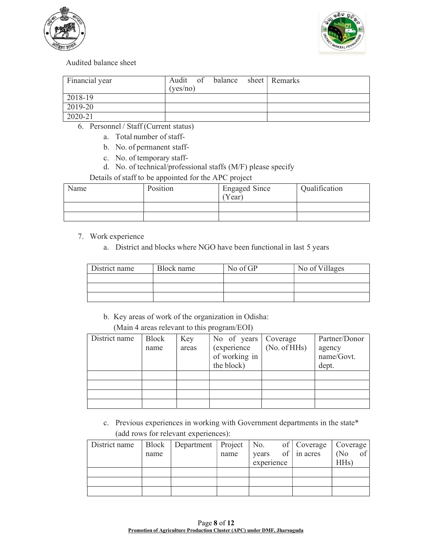



#### Audited balance sheet

| Financial year | Audit of balance sheet Remarks<br>(yes/no) |  |
|----------------|--------------------------------------------|--|
| 2018-19        |                                            |  |
| 2019-20        |                                            |  |
| 2020-21        |                                            |  |

- 6. Personnel / Staff (Current status)
	- a. Total number of staff-
	- b. No. of permanent staff-
	- c. No. of temporary staff-
	- d. No. of technical/professional staffs (M/F) please specify
	- Details of staff to be appointed for the APC project

| Name | Position | <b>Engaged Since</b><br>Year) | Qualification |
|------|----------|-------------------------------|---------------|
|      |          |                               |               |
|      |          |                               |               |

- 7. Work experience
	- a. District and blocks where NGO have been functional in last 5 years

| District name | Block name | No of GP | No of Villages |
|---------------|------------|----------|----------------|
|               |            |          |                |
|               |            |          |                |
|               |            |          |                |

b. Key areas of work of the organization in Odisha:

(Main 4 areas relevant to this program/EOI)

| District name | Block | Key   | No of years         | Coverage     | Partner/Donor |
|---------------|-------|-------|---------------------|--------------|---------------|
|               | name  | areas | <i>(experience)</i> | (No. of HHs) | agency        |
|               |       |       | of working in       |              | name/Govt.    |
|               |       |       | the block)          |              | dept.         |
|               |       |       |                     |              |               |
|               |       |       |                     |              |               |
|               |       |       |                     |              |               |
|               |       |       |                     |              |               |

c. Previous experiences in working with Government departments in the state\* (add rows for relevant experiences):

| District name   Block   Department   Project   No. of   Coverage   Coverage |      |      |            |                          |                   |
|-----------------------------------------------------------------------------|------|------|------------|--------------------------|-------------------|
|                                                                             | name | name |            | years of $\int$ in acres | $(No$ of          |
|                                                                             |      |      | experience |                          | HH <sub>s</sub> ) |
|                                                                             |      |      |            |                          |                   |
|                                                                             |      |      |            |                          |                   |
|                                                                             |      |      |            |                          |                   |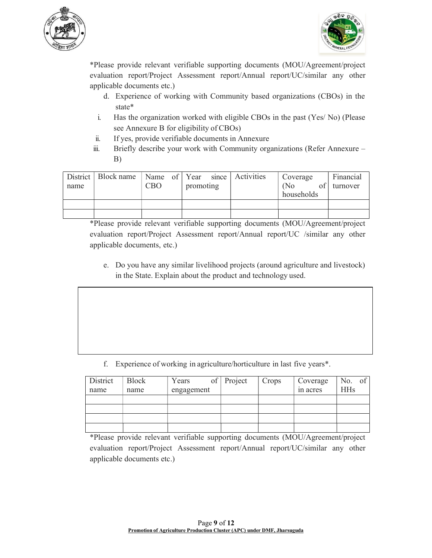



\*Please provide relevant verifiable supporting documents (MOU/Agreement/project evaluation report/Project Assessment report/Annual report/UC/similar any other applicable documents etc.)

- d. Experience of working with Community based organizations (CBOs) in the state\*
- i. Has the organization worked with eligible CBOs in the past (Yes/ No) (Please see Annexure B for eligibility of CBOs)
- ii. If yes, provide verifiable documents in Annexure
- iii. Briefly describe your work with Community organizations (Refer Annexure B)

| name | District   Block name   Name of   Year since   Activities | <b>CBO</b> | promoting |  | Coverage<br>(No)<br>households | Financial<br>turnover |
|------|-----------------------------------------------------------|------------|-----------|--|--------------------------------|-----------------------|
|      |                                                           |            |           |  |                                |                       |
|      |                                                           |            |           |  |                                |                       |

\*Please provide relevant verifiable supporting documents (MOU/Agreement/project evaluation report/Project Assessment report/Annual report/UC /similar any other applicable documents, etc.)

e. Do you have any similar livelihood projects (around agriculture and livestock) in the State. Explain about the product and technology used.

f. Experience of working in agriculture/horticulture in last five years\*.

| District | <b>Block</b> | Years      | of $ $ Project | Crops | Coverage | No. of     |
|----------|--------------|------------|----------------|-------|----------|------------|
| name     | name         | engagement |                |       | in acres | <b>HHs</b> |
|          |              |            |                |       |          |            |
|          |              |            |                |       |          |            |
|          |              |            |                |       |          |            |
|          |              |            |                |       |          |            |

\*Please provide relevant verifiable supporting documents (MOU/Agreement/project evaluation report/Project Assessment report/Annual report/UC/similar any other applicable documents etc.)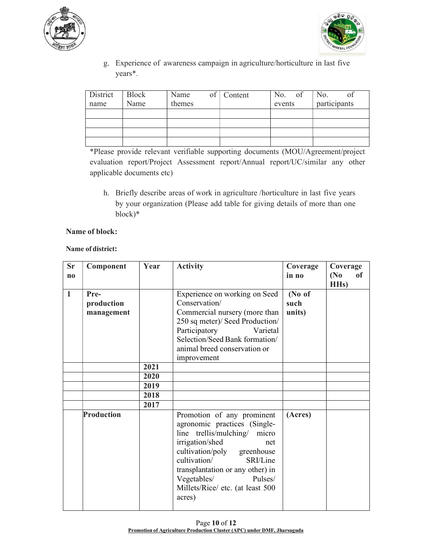



g. Experience of awareness campaign in agriculture/horticulture in last five years\*.

| District<br>name | Block<br>Name | Name<br>themes | $of$ Content | No. of<br>events | No.<br>of<br>participants |
|------------------|---------------|----------------|--------------|------------------|---------------------------|
|                  |               |                |              |                  |                           |
|                  |               |                |              |                  |                           |
|                  |               |                |              |                  |                           |
|                  |               |                |              |                  |                           |

\*Please provide relevant verifiable supporting documents (MOU/Agreement/project evaluation report/Project Assessment report/Annual report/UC/similar any other applicable documents etc)

h. Briefly describe areas of work in agriculture /horticulture in last five years by your organization (Please add table for giving details of more than one block)\*

#### Name of block:

#### Name of district:

| <b>Sr</b><br>$\mathbf{n}$ | Component                        | Year                 | <b>Activity</b>                                                                                                                                                                                                                                                                             | Coverage<br>in no        | Coverage<br>(N <sub>0</sub> )<br>of<br>HH <sub>s</sub> ) |
|---------------------------|----------------------------------|----------------------|---------------------------------------------------------------------------------------------------------------------------------------------------------------------------------------------------------------------------------------------------------------------------------------------|--------------------------|----------------------------------------------------------|
| $\mathbf{1}$              | Pre-<br>production<br>management |                      | Experience on working on Seed<br>Conservation/<br>Commercial nursery (more than<br>250 sq meter)/ Seed Production/<br>Participatory<br>Varietal<br>Selection/Seed Bank formation/<br>animal breed conservation or<br>improvement                                                            | (No of<br>such<br>units) |                                                          |
|                           |                                  | 2021<br>2020<br>2019 |                                                                                                                                                                                                                                                                                             |                          |                                                          |
|                           |                                  | 2018<br>2017         |                                                                                                                                                                                                                                                                                             |                          |                                                          |
|                           | Production                       |                      | Promotion of any prominent<br>agronomic practices (Single-<br>line trellis/mulching/ micro<br>irrigation/shed<br>net<br>cultivation/poly greenhouse<br>cultivation/<br>SRI/Line<br>transplantation or any other) in<br>Vegetables/<br>Pulses/<br>Millets/Rice/ etc. (at least 500<br>acres) | (Acres)                  |                                                          |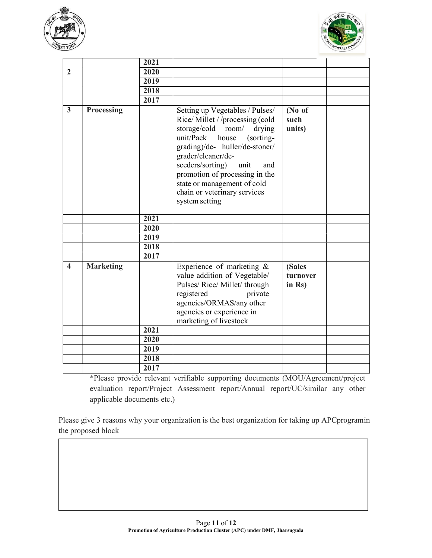



|                         |                  | 2021 |                                                                                                                                                                                                                                                                                                                                                    |                              |
|-------------------------|------------------|------|----------------------------------------------------------------------------------------------------------------------------------------------------------------------------------------------------------------------------------------------------------------------------------------------------------------------------------------------------|------------------------------|
| $\overline{2}$          |                  | 2020 |                                                                                                                                                                                                                                                                                                                                                    |                              |
|                         |                  | 2019 |                                                                                                                                                                                                                                                                                                                                                    |                              |
|                         |                  | 2018 |                                                                                                                                                                                                                                                                                                                                                    |                              |
|                         |                  | 2017 |                                                                                                                                                                                                                                                                                                                                                    |                              |
| 3                       | Processing       |      | Setting up Vegetables / Pulses/<br>Rice/Millet //processing (cold<br>storage/cold room/<br>drying<br>unit/Pack<br>house<br>(sorting-<br>grading)/de- huller/de-stoner/<br>grader/cleaner/de-<br>seeders/sorting)<br>unit<br>and<br>promotion of processing in the<br>state or management of cold<br>chain or veterinary services<br>system setting | (No of<br>such<br>units)     |
|                         |                  | 2021 |                                                                                                                                                                                                                                                                                                                                                    |                              |
|                         |                  | 2020 |                                                                                                                                                                                                                                                                                                                                                    |                              |
|                         |                  | 2019 |                                                                                                                                                                                                                                                                                                                                                    |                              |
|                         |                  | 2018 |                                                                                                                                                                                                                                                                                                                                                    |                              |
|                         |                  | 2017 |                                                                                                                                                                                                                                                                                                                                                    |                              |
| $\overline{\mathbf{4}}$ | <b>Marketing</b> |      | Experience of marketing &<br>value addition of Vegetable/<br>Pulses/ Rice/ Millet/ through<br>registered<br>private<br>agencies/ORMAS/any other<br>agencies or experience in<br>marketing of livestock                                                                                                                                             | (Sales<br>turnover<br>in Rs) |
|                         |                  | 2021 |                                                                                                                                                                                                                                                                                                                                                    |                              |
|                         |                  | 2020 |                                                                                                                                                                                                                                                                                                                                                    |                              |
|                         |                  | 2019 |                                                                                                                                                                                                                                                                                                                                                    |                              |
|                         |                  | 2018 |                                                                                                                                                                                                                                                                                                                                                    |                              |
|                         |                  | 2017 |                                                                                                                                                                                                                                                                                                                                                    |                              |

\*Please provide relevant verifiable supporting documents (MOU/Agreement/project evaluation report/Project Assessment report/Annual report/UC/similar any other applicable documents etc.)

Please give 3 reasons why your organization is the best organization for taking up APCprogramin the proposed block